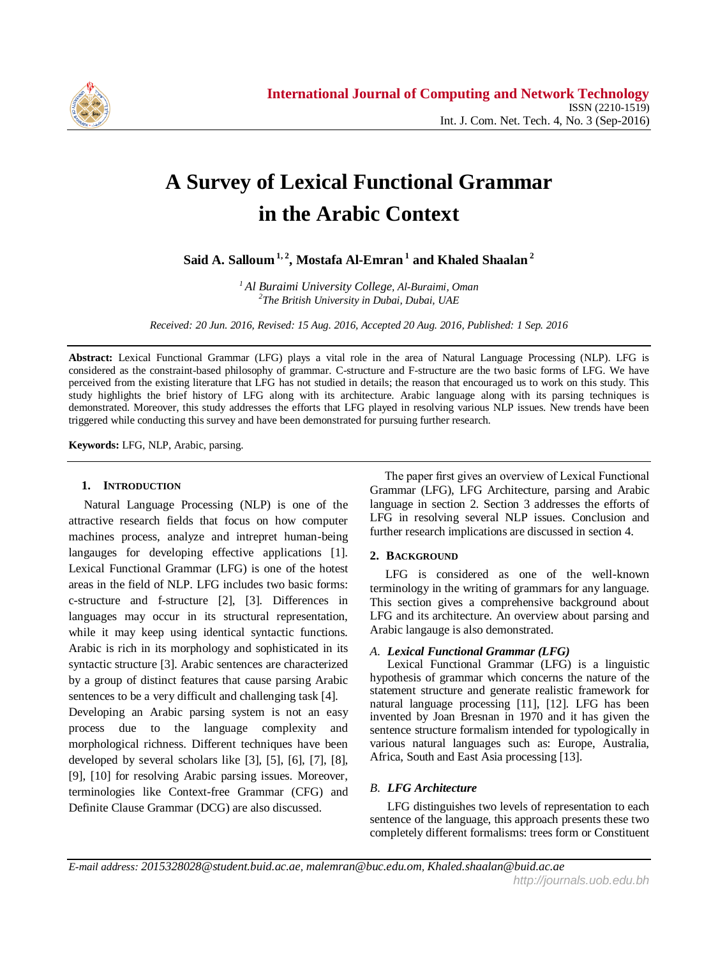

# **A Survey of Lexical Functional Grammar in the Arabic Context**

**Said A. Salloum1, 2 , Mostafa Al-Emran <sup>1</sup> and Khaled Shaalan <sup>2</sup>**

*<sup>1</sup>Al Buraimi University College, Al-Buraimi, Oman 2 The British University in Dubai, Dubai, UAE*

*Received: 20 Jun. 2016, Revised: 15 Aug. 2016, Accepted 20 Aug. 2016, Published: 1 Sep. 2016*

**Abstract:** Lexical Functional Grammar (LFG) plays a vital role in the area of Natural Language Processing (NLP). LFG is considered as the constraint-based philosophy of grammar. C-structure and F-structure are the two basic forms of LFG. We have perceived from the existing literature that LFG has not studied in details; the reason that encouraged us to work on this study. This study highlights the brief history of LFG along with its architecture. Arabic language along with its parsing techniques is demonstrated. Moreover, this study addresses the efforts that LFG played in resolving various NLP issues. New trends have been triggered while conducting this survey and have been demonstrated for pursuing further research.

**Keywords:** LFG, NLP, Arabic, parsing.

### **1. INTRODUCTION**

 Natural Language Processing (NLP) is one of the attractive research fields that focus on how computer machines process, analyze and intrepret human-being langauges for developing effective applications [1]. Lexical Functional Grammar (LFG) is one of the hotest areas in the field of NLP. LFG includes two basic forms: c-structure and f-structure [2], [3]. Differences in languages may occur in its structural representation, while it may keep using identical syntactic functions. Arabic is rich in its morphology and sophisticated in its syntactic structure [3]. Arabic sentences are characterized by a group of distinct features that cause parsing Arabic sentences to be a very difficult and challenging task [4]. Developing an Arabic parsing system is not an easy process due to the language complexity and morphological richness. Different techniques have been developed by several scholars like [3], [5], [6], [7], [8], [9], [10] for resolving Arabic parsing issues. Moreover, terminologies like Context-free Grammar (CFG) and Definite Clause Grammar (DCG) are also discussed.

 The paper first gives an overview of Lexical Functional Grammar (LFG), LFG Architecture, parsing and Arabic language in section 2. Section 3 addresses the efforts of LFG in resolving several NLP issues. Conclusion and further research implications are discussed in section 4.

## **2. BACKGROUND**

 LFG is considered as one of the well-known terminology in the writing of grammars for any language. This section gives a comprehensive background about LFG and its architecture. An overview about parsing and Arabic langauge is also demonstrated.

## *A. Lexical Functional Grammar (LFG)*

Lexical Functional Grammar (LFG) is a linguistic hypothesis of grammar which concerns the nature of the statement structure and generate realistic framework for natural language processing [11], [12]. LFG has been invented by Joan Bresnan in 1970 and it has given the sentence structure formalism intended for typologically in various natural languages such as: Europe, Australia, Africa, South and East Asia processing [13].

### *B. LFG Architecture*

LFG distinguishes two levels of representation to each sentence of the language, this approach presents these two completely different formalisms: trees form or Constituent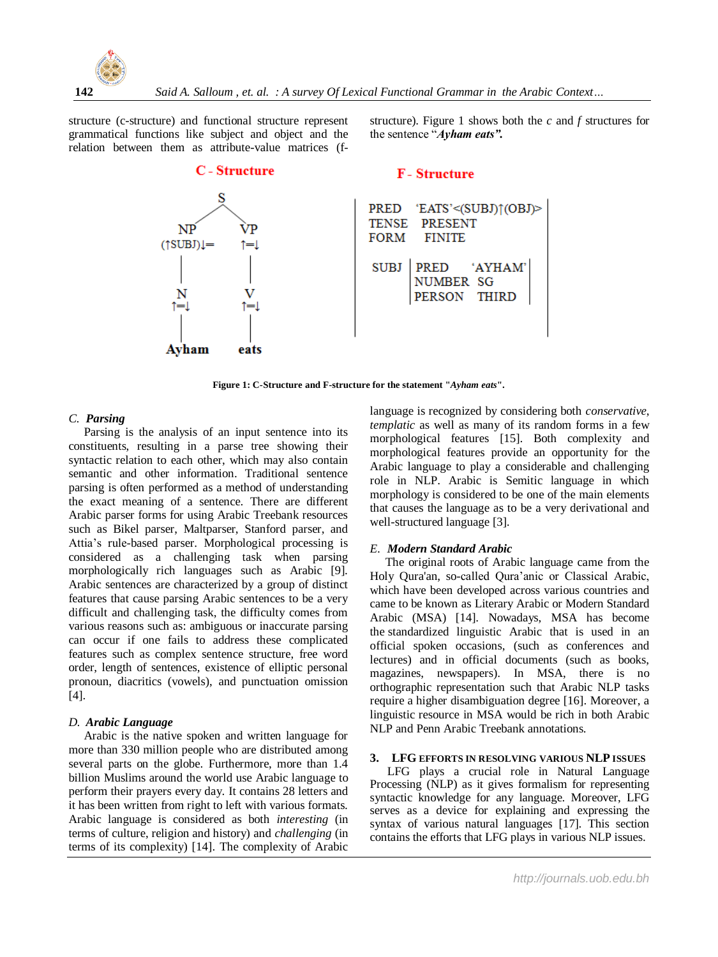

structure (c-structure) and functional structure represent grammatical functions like subject and object and the relation between them as attribute-value matrices (f-

**C** - Structure

structure). Figure 1 shows both the *c* and *f* structures for the sentence "*Ayham eats".*

# **F**-Structure



**Figure 1: C-Structure and F-structure for the statement "***Ayham eats***".**

## *C. Parsing*

 Parsing is the analysis of an input sentence into its constituents, resulting in a parse tree showing their syntactic relation to each other, which may also contain semantic and other information. Traditional sentence parsing is often performed as a method of understanding the exact meaning of a sentence. There are different Arabic parser forms for using Arabic Treebank resources such as Bikel parser, Maltparser, Stanford parser, and Attia's rule-based parser. Morphological processing is considered as a challenging task when parsing morphologically rich languages such as Arabic [9]. Arabic sentences are characterized by a group of distinct features that cause parsing Arabic sentences to be a very difficult and challenging task, the difficulty comes from various reasons such as: ambiguous or inaccurate parsing can occur if one fails to address these complicated features such as complex sentence structure, free word order, length of sentences, existence of elliptic personal pronoun, diacritics (vowels), and punctuation omission  $[4]$ .

### *D. Arabic Language*

 Arabic is the native spoken and written language for more than 330 million people who are distributed among several parts on the globe. Furthermore, more than 1.4 billion Muslims around the world use Arabic language to perform their prayers every day. It contains 28 letters and it has been written from right to left with various formats. Arabic language is considered as both *interesting* (in terms of culture, religion and history) and *challenging* (in terms of its complexity) [14]. The complexity of Arabic

language is recognized by considering both *conservative*, *templatic* as well as many of its random forms in a few morphological features [15]. Both complexity and morphological features provide an opportunity for the Arabic language to play a considerable and challenging role in NLP. Arabic is Semitic language in which morphology is considered to be one of the main elements that causes the language as to be a very derivational and well-structured language [3].

## *E. Modern Standard Arabic*

 The original roots of Arabic language came from the Holy Qura'an, so-called Qura'anic or Classical Arabic, which have been developed across various countries and came to be known as Literary Arabic or Modern Standard Arabic (MSA) [14]. Nowadays, MSA has become the [standardized](http://en.wikipedia.org/wiki/Standard_language) linguistic Arabic that is used in an official spoken occasions, (such as conferences and lectures) and in official documents (such as books, magazines, newspapers). In MSA, there is no orthographic representation such that Arabic NLP tasks require a higher disambiguation degree [16]. Moreover, a linguistic resource in MSA would be rich in both Arabic NLP and Penn Arabic Treebank annotations.

### **3. LFG EFFORTS IN RESOLVING VARIOUS NLP ISSUES**

LFG plays a crucial role in Natural Language Processing (NLP) as it gives formalism for representing syntactic knowledge for any language. Moreover, LFG serves as a device for explaining and expressing the syntax of various natural languages [17]. This section contains the efforts that LFG plays in various NLP issues.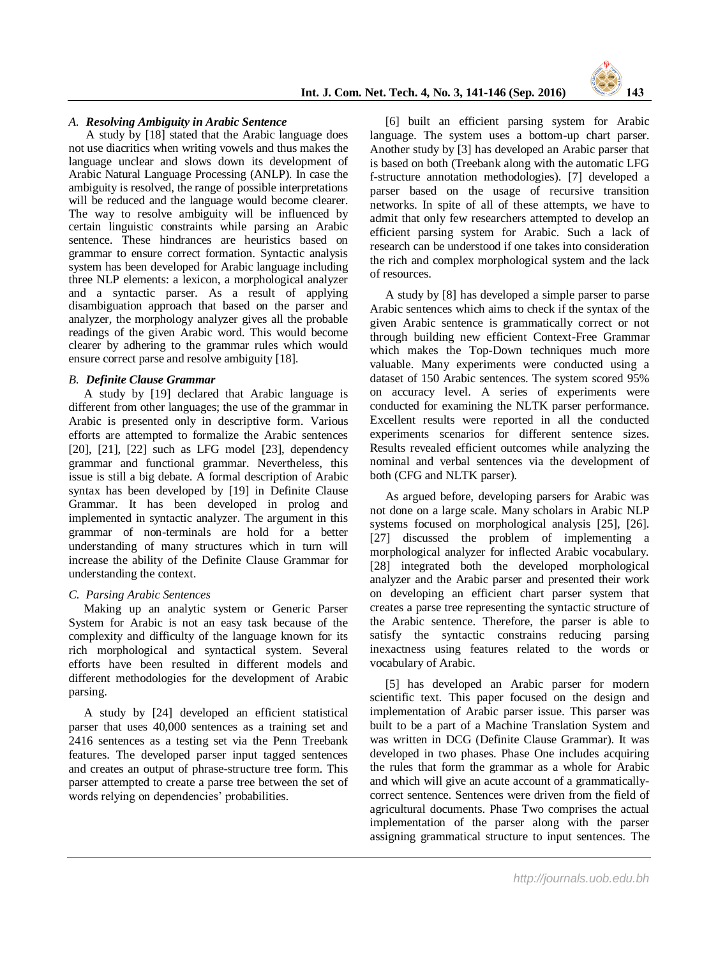

## *A. Resolving Ambiguity in Arabic Sentence*

A study by [18] stated that the Arabic language does not use diacritics when writing vowels and thus makes the language unclear and slows down its development of Arabic Natural Language Processing (ANLP). In case the ambiguity is resolved, the range of possible interpretations will be reduced and the language would become clearer. The way to resolve ambiguity will be influenced by certain linguistic constraints while parsing an Arabic sentence. These hindrances are heuristics based on grammar to ensure correct formation. Syntactic analysis system has been developed for Arabic language including three NLP elements: a lexicon, a morphological analyzer and a syntactic parser. As a result of applying disambiguation approach that based on the parser and analyzer, the morphology analyzer gives all the probable readings of the given Arabic word. This would become clearer by adhering to the grammar rules which would ensure correct parse and resolve ambiguity [18].

#### *B. Definite Clause Grammar*

 A study by [19] declared that Arabic language is different from other languages; the use of the grammar in Arabic is presented only in descriptive form. Various efforts are attempted to formalize the Arabic sentences [20], [21], [22] such as LFG model [23], dependency grammar and functional grammar. Nevertheless, this issue is still a big debate. A formal description of Arabic syntax has been developed by [19] in Definite Clause Grammar. It has been developed in prolog and implemented in syntactic analyzer. The argument in this grammar of non-terminals are hold for a better understanding of many structures which in turn will increase the ability of the Definite Clause Grammar for understanding the context.

### *C. Parsing Arabic Sentences*

 Making up an analytic system or Generic Parser System for Arabic is not an easy task because of the complexity and difficulty of the language known for its rich morphological and syntactical system. Several efforts have been resulted in different models and different methodologies for the development of Arabic parsing.

 A study by [24] developed an efficient statistical parser that uses 40,000 sentences as a training set and 2416 sentences as a testing set via the Penn Treebank features. The developed parser input tagged sentences and creates an output of phrase-structure tree form. This parser attempted to create a parse tree between the set of words relying on dependencies' probabilities.

 [6] built an efficient parsing system for Arabic language. The system uses a bottom-up chart parser. Another study by [3] has developed an Arabic parser that is based on both (Treebank along with the automatic LFG f-structure annotation methodologies). [7] developed a parser based on the usage of recursive transition networks. In spite of all of these attempts, we have to admit that only few researchers attempted to develop an efficient parsing system for Arabic. Such a lack of research can be understood if one takes into consideration the rich and complex morphological system and the lack of resources.

 A study by [8] has developed a simple parser to parse Arabic sentences which aims to check if the syntax of the given Arabic sentence is grammatically correct or not through building new efficient Context-Free Grammar which makes the Top-Down techniques much more valuable. Many experiments were conducted using a dataset of 150 Arabic sentences. The system scored 95% on accuracy level. A series of experiments were conducted for examining the NLTK parser performance. Excellent results were reported in all the conducted experiments scenarios for different sentence sizes. Results revealed efficient outcomes while analyzing the nominal and verbal sentences via the development of both (CFG and NLTK parser).

 As argued before, developing parsers for Arabic was not done on a large scale. Many scholars in Arabic NLP systems focused on morphological analysis [25], [26]. [27] discussed the problem of implementing a morphological analyzer for inflected Arabic vocabulary. [28] integrated both the developed morphological analyzer and the Arabic parser and presented their work on developing an efficient chart parser system that creates a parse tree representing the syntactic structure of the Arabic sentence. Therefore, the parser is able to satisfy the syntactic constrains reducing parsing inexactness using features related to the words or vocabulary of Arabic.

 [5] has developed an Arabic parser for modern scientific text. This paper focused on the design and implementation of Arabic parser issue. This parser was built to be a part of a Machine Translation System and was written in DCG (Definite Clause Grammar). It was developed in two phases. Phase One includes acquiring the rules that form the grammar as a whole for Arabic and which will give an acute account of a grammaticallycorrect sentence. Sentences were driven from the field of agricultural documents. Phase Two comprises the actual implementation of the parser along with the parser assigning grammatical structure to input sentences. The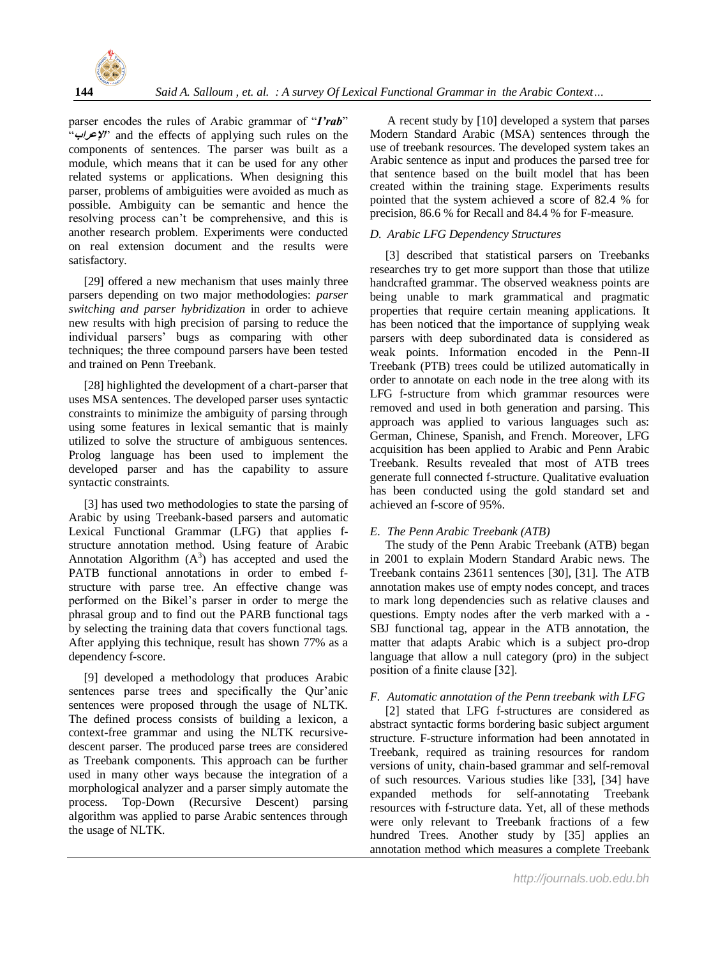

parser encodes the rules of Arabic grammar of "*I'rab*" "**اإلعراب** "and the effects of applying such rules on the components of sentences. The parser was built as a module, which means that it can be used for any other related systems or applications. When designing this parser, problems of ambiguities were avoided as much as possible. Ambiguity can be semantic and hence the resolving process can't be comprehensive, and this is another research problem. Experiments were conducted on real extension document and the results were satisfactory.

[29] offered a new mechanism that uses mainly three parsers depending on two major methodologies: *parser switching and parser hybridization* in order to achieve new results with high precision of parsing to reduce the individual parsers' bugs as comparing with other techniques; the three compound parsers have been tested and trained on Penn Treebank.

[28] highlighted the development of a chart-parser that uses MSA sentences. The developed parser uses syntactic constraints to minimize the ambiguity of parsing through using some features in lexical semantic that is mainly utilized to solve the structure of ambiguous sentences. Prolog language has been used to implement the developed parser and has the capability to assure syntactic constraints.

 [3] has used two methodologies to state the parsing of Arabic by using Treebank-based parsers and automatic Lexical Functional Grammar (LFG) that applies fstructure annotation method. Using feature of Arabic Annotation Algorithm  $(A^3)$  has accepted and used the PATB functional annotations in order to embed fstructure with parse tree. An effective change was performed on the Bikel's parser in order to merge the phrasal group and to find out the PARB functional tags by selecting the training data that covers functional tags. After applying this technique, result has shown 77% as a dependency f-score.

 [9] developed a methodology that produces Arabic sentences parse trees and specifically the Qur'anic sentences were proposed through the usage of NLTK. The defined process consists of building a lexicon, a context-free grammar and using the NLTK recursivedescent parser. The produced parse trees are considered as Treebank components. This approach can be further used in many other ways because the integration of a morphological analyzer and a parser simply automate the process. Top-Down (Recursive Descent) parsing algorithm was applied to parse Arabic sentences through the usage of NLTK.

A recent study by [10] developed a system that parses Modern Standard Arabic (MSA) sentences through the use of treebank resources. The developed system takes an Arabic sentence as input and produces the parsed tree for that sentence based on the built model that has been created within the training stage. Experiments results pointed that the system achieved a score of 82.4 % for precision, 86.6 % for Recall and 84.4 % for F-measure.

# *D. Arabic LFG Dependency Structures*

 [3] described that statistical parsers on Treebanks researches try to get more support than those that utilize handcrafted grammar. The observed weakness points are being unable to mark grammatical and pragmatic properties that require certain meaning applications. It has been noticed that the importance of supplying weak parsers with deep subordinated data is considered as weak points. Information encoded in the Penn-II Treebank (PTB) trees could be utilized automatically in order to annotate on each node in the tree along with its LFG f-structure from which grammar resources were removed and used in both generation and parsing. This approach was applied to various languages such as: German, Chinese, Spanish, and French. Moreover, LFG acquisition has been applied to Arabic and Penn Arabic Treebank. Results revealed that most of ATB trees generate full connected f-structure. Qualitative evaluation has been conducted using the gold standard set and achieved an f-score of 95%.

## *E. The Penn Arabic Treebank (ATB)*

 The study of the Penn Arabic Treebank (ATB) began in 2001 to explain Modern Standard Arabic news. The Treebank contains 23611 sentences [30], [31]. The ATB annotation makes use of empty nodes concept, and traces to mark long dependencies such as relative clauses and questions. Empty nodes after the verb marked with a - SBJ functional tag, appear in the ATB annotation, the matter that adapts Arabic which is a subject pro-drop language that allow a null category (pro) in the subject position of a finite clause [32].

## *F. Automatic annotation of the Penn treebank with LFG*

 [2] stated that LFG f-structures are considered as abstract syntactic forms bordering basic subject argument structure. F-structure information had been annotated in Treebank, required as training resources for random versions of unity, chain-based grammar and self-removal of such resources. Various studies like [33], [34] have expanded methods for self-annotating Treebank resources with f-structure data. Yet, all of these methods were only relevant to Treebank fractions of a few hundred Trees. Another study by [35] applies an annotation method which measures a complete Treebank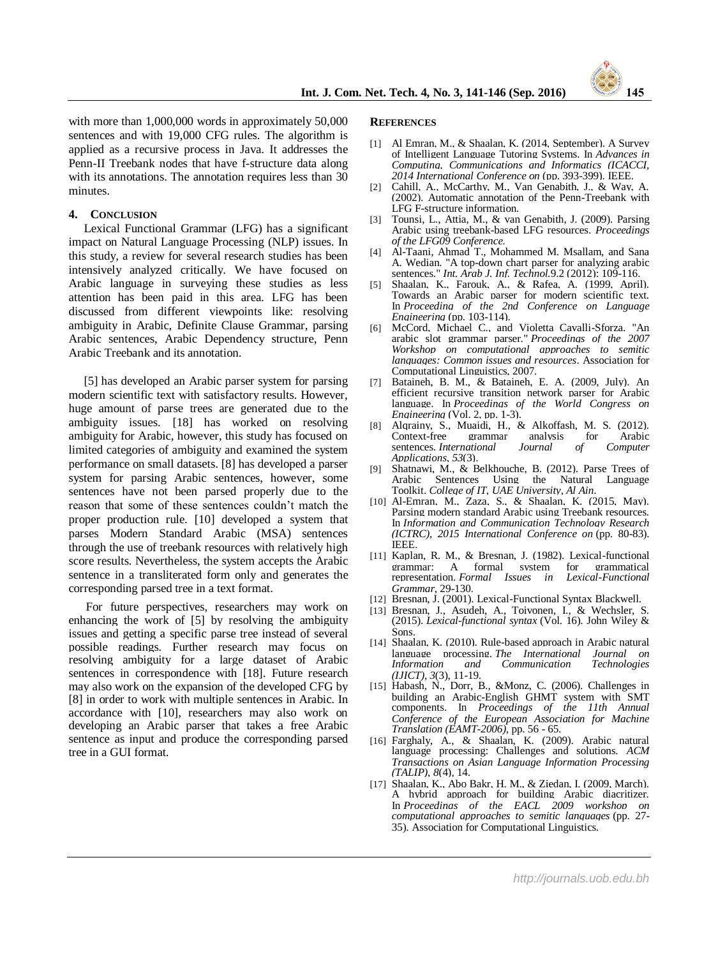

with more than 1,000,000 words in approximately 50,000 sentences and with 19,000 CFG rules. The algorithm is applied as a recursive process in Java. It addresses the Penn-II Treebank nodes that have f-structure data along with its annotations. The annotation requires less than 30 minutes.

#### **4. CONCLUSION**

 Lexical Functional Grammar (LFG) has a significant impact on Natural Language Processing (NLP) issues. In this study, a review for several research studies has been intensively analyzed critically. We have focused on Arabic language in surveying these studies as less attention has been paid in this area. LFG has been discussed from different viewpoints like: resolving ambiguity in Arabic, Definite Clause Grammar, parsing Arabic sentences, Arabic Dependency structure, Penn Arabic Treebank and its annotation.

 [5] has developed an Arabic parser system for parsing modern scientific text with satisfactory results. However, huge amount of parse trees are generated due to the ambiguity issues. [18] has worked on resolving ambiguity for Arabic, however, this study has focused on limited categories of ambiguity and examined the system performance on small datasets. [8] has developed a parser system for parsing Arabic sentences, however, some sentences have not been parsed properly due to the reason that some of these sentences couldn't match the proper production rule. [10] developed a system that parses Modern Standard Arabic (MSA) sentences through the use of treebank resources with relatively high score results. Nevertheless, the system accepts the Arabic sentence in a transliterated form only and generates the corresponding parsed tree in a text format.

For future perspectives, researchers may work on enhancing the work of [5] by resolving the ambiguity issues and getting a specific parse tree instead of several possible readings. Further research may focus on resolving ambiguity for a large dataset of Arabic sentences in correspondence with [18]. Future research may also work on the expansion of the developed CFG by [8] in order to work with multiple sentences in Arabic. In accordance with [10], researchers may also work on developing an Arabic parser that takes a free Arabic sentence as input and produce the corresponding parsed tree in a GUI format.

#### **REFERENCES**

- [1] Al Emran, M., & Shaalan, K. (2014, September). A Survey of Intelligent Language Tutoring Systems. In *Advances in Computing, Communications and Informatics (ICACCI, 2014 International Conference on* (pp. 393-399). IEEE.
- [2] Cahill, A., McCarthy, M., Van Genabith, J., & Way, A. (2002). Automatic annotation of the Penn-Treebank with LFG F-structure information.
- [3] Tounsi, L., Attia, M., & van Genabith, J. (2009). Parsing Arabic using treebank-based LFG resources. *Proceedings of the LFG09 Conference.*
- [4] Al-Taani, Ahmad T., Mohammed M. Msallam, and Sana A. Wedian. "A top-down chart parser for analyzing arabic sentences." *Int. Arab J. Inf. Technol.*9.2 (2012): 109-116.
- [5] Shaalan, K., Farouk, A., & Rafea, A. (1999, April). Towards an Arabic parser for modern scientific text. In *Proceeding of the 2nd Conference on Language Engineering* (pp. 103-114).
- McCord, Michael C., and Violetta Cavalli-Sforza. "An arabic slot grammar parser." *Proceedings of the 2007 Workshop on computational approaches to semitic languages: Common issues and resources*. Association for Computational Linguistics, 2007.
- [7] Bataineh, B. M., & Bataineh, E. A. (2009, July). An efficient recursive transition network parser for Arabic language. In *Proceedings of the World Congress on Engineering* (Vol. 2, pp. 1-3).
- [8] Alqrainy, S., Muaidi, H., & Alkoffash, M. S. (2012). Context-free grammar analysis for Arabic<br>sentences. International Journal of Computer sentences. *International Applications*, *53*(3).
- [9] Shatnawi, M., & Belkhouche, B. (2012). Parse Trees of Arabic Sentences Using the Natural Language Toolkit. *College of IT, UAE University, Al Ain*.
- [10] Al-Emran, M., Zaza, S., & Shaalan, K. (2015, May). Parsing modern standard Arabic using Treebank resources. In *Information and Communication Technology Research (ICTRC), 2015 International Conference on* (pp. 80-83). IEEE.
- [11] Kaplan, R. M., & Bresnan, J. (1982). Lexical-functional grammar: A formal system for grammatical representation. *Formal Issues in Lexical-Functional Grammar*, 29-130.
- [12] Bresnan, J. (2001). Lexical-Functional Syntax Blackwell.
- [13] Bresnan, J., Asudeh, A., Toivonen, I., & Wechsler, S. (2015). *Lexical-functional syntax* (Vol. 16). John Wiley & Sons.
- [14] Shaalan, K. (2010). Rule-based approach in Arabic natural language processing. *The International Journal on*   $Technologies$ *(IJICT)*, *3*(3), 11-19.
- [15] Habash, N., Dorr, B., &Monz, C. (2006). Challenges in building an Arabic-English GHMT system with SMT components. In *Proceedings of the 11th Annual Conference of the European Association for Machine Translation (EAMT-2006)*, pp. 56 - 65.
- [16] Farghaly, A., & Shaalan, K. (2009). Arabic natural language processing: Challenges and solutions. *ACM Transactions on Asian Language Information Processing (TALIP)*, *8*(4), 14.
- [17] Shaalan, K., Abo Bakr, H. M., & Ziedan, I. (2009, March). A hybrid approach for building Arabic diacritizer. In *Proceedings of the EACL 2009 workshop on computational approaches to semitic languages* (pp. 27- 35). Association for Computational Linguistics.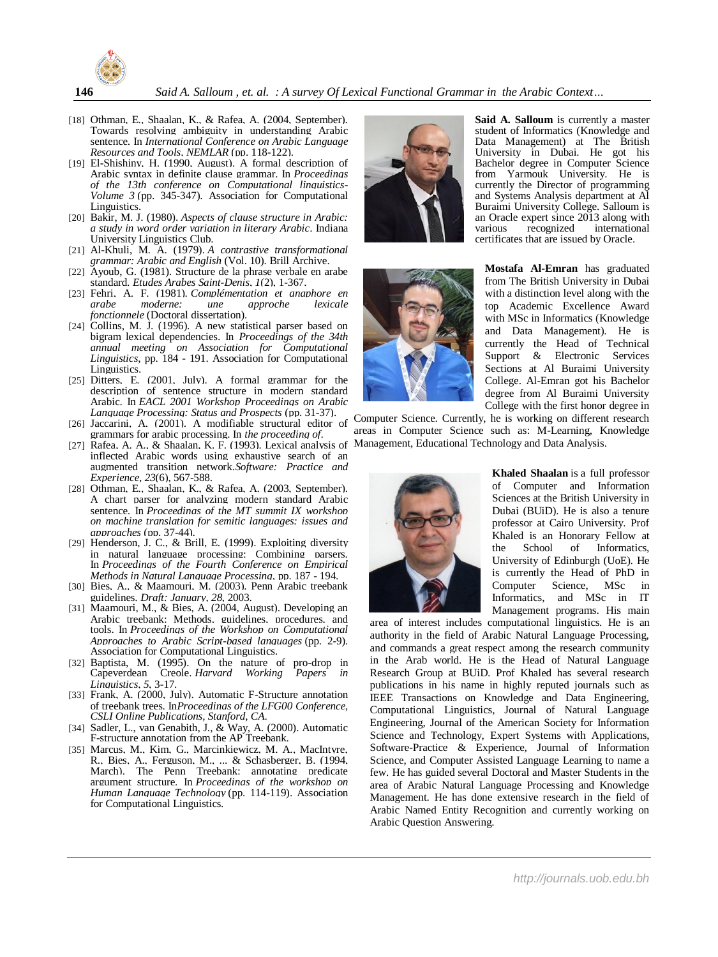

- [18] Othman, E., Shaalan, K., & Rafea, A. (2004, September). Towards resolving ambiguity in understanding Arabic sentence. In *International Conference on Arabic Language Resources and Tools, NEMLAR* (pp. 118-122).
- [19] El-Shishiny. H. (1990. August). A formal description of Arabic syntax in definite clause grammar. In *Proceedings of the 13th conference on Computational linguistics-Volume 3* (pp. 345-347). Association for Computational Linguistics.
- [20] Bakir, M. J. (1980). *Aspects of clause structure in Arabic: a study in word order variation in literary Arabic*. Indiana University Linguistics Club.
- [21] Al-Khuli, M. A. (1979). *A contrastive transformational grammar: Arabic and English* (Vol. 10). Brill Archive.
- [22] Ayoub, G. (1981). Structure de la phrase verbale en arabe standard. *Etudes Arabes Saint-Denis*, *1*(2), 1-367.
- [23] Fehri, A. F. (1981). *Complémentation et anaphore en arabe moderne: une approche lexicale fonctionnele* (Doctoral dissertation).
- [24] Collins, M. J. (1996). A new statistical parser based on bigram lexical dependencies. In *Proceedings of the 34th annual meeting on Association for Computational Linguistics*, pp. 184 - 191. Association for Computational Linguistics.
- [25] Ditters, E. (2001, July). A formal grammar for the description of sentence structure in modern standard Arabic. In *EACL 2001 Workshop Proceedings on Arabic Language Processing: Status and Prospects* (pp. 31-37).
- [26] Jaccarini, A. (2001). A modifiable structural editor of grammars for arabic processing. In *the proceeding of*.
- [27] Rafea, A. A., & Shaalan, K. F. (1993). Lexical analysis of inflected Arabic words using exhaustive search of an augmented transition network.*Software: Practice and Experience*, *23*(6), 567-588.
- [28] Othman, E., Shaalan, K., & Rafea, A. (2003, September). A chart parser for analyzing modern standard Arabic sentence. In *Proceedings of the MT summit IX workshop on machine translation for semitic languages: issues and approaches* (pp. 37-44).
- [29] Henderson, J. C., & Brill, E. (1999). Exploiting diversity in natural language processing: Combining parsers. In *Proceedings of the Fourth Conference on Empirical Methods in Natural Language Processing*, pp. 187 - 194.
- [30] Bies, A., & Maamouri, M. (2003). Penn Arabic treebank guidelines. *Draft: January*, *28*, 2003.
- [31] Maamouri, M., & Bies, A. (2004, August). Developing an Arabic treebank: Methods, guidelines, procedures, and tools. In *Proceedings of the Workshop on Computational Approaches to Arabic Script-based languages* (pp. 2-9). Association for Computational Linguistics.
- [32] Baptista, M. (1995). On the nature of pro-drop in Capeverdean Creole. *Harvard Working Papers in Linguistics*, *5*, 3-17.
- [33] Frank, A. (2000, July). Automatic F-Structure annotation of treebank trees. In*Proceedings of the LFG00 Conference, CSLI Online Publications, Stanford, CA*.
- [34] Sadler, L., van Genabith, J., & Way, A. (2000). Automatic F-structure annotation from the AP Treebank.
- [35] Marcus, M., Kim, G., Marcinkiewicz, M. A., MacIntyre, R., Bies, A., Ferguson, M., ... & Schasberger, B. (1994, March). The Penn Treebank: annotating predicate argument structure. In *Proceedings of the workshop on Human Language Technology* (pp. 114-119). Association for Computational Linguistics.





**Said A. Salloum** is currently a master student of Informatics (Knowledge and Data Management) at The British University in Dubai. He got his Bachelor degree in Computer Science from Yarmouk University. He is currently the Director of programming and Systems Analysis department at Al Buraimi University College. Salloum is an Oracle expert since 2013 along with<br>various recognized international various recognized international certificates that are issued by Oracle.

**Mostafa Al-Emran** has graduated from The British University in Dubai with a distinction level along with the top Academic Excellence Award with MSc in Informatics (Knowledge and Data Management). He is currently the Head of Technical Support & Electronic Services Sections at Al Buraimi University College. Al-Emran got his Bachelor degree from Al Buraimi University College with the first honor degree in

Computer Science. Currently, he is working on different research areas in Computer Science such as: M-Learning, Knowledge Management, Educational Technology and Data Analysis.



**Khaled Shaalan** is a full professor of Computer and Information Sciences at the British University in Dubai (BUiD). He is also a tenure professor at Cairo University. Prof Khaled is an Honorary Fellow at the School of Informatics, University of Edinburgh (UoE). He is currently the Head of PhD in Computer Science, MSc in Informatics, and MSc in IT Management programs. His main

area of interest includes computational linguistics. He is an authority in the field of Arabic Natural Language Processing, and commands a great respect among the research community in the Arab world. He is the Head of Natural Language Research Group at BUiD. Prof Khaled has several research publications in his name in highly reputed journals such as IEEE Transactions on Knowledge and Data Engineering, Computational Linguistics, Journal of Natural Language Engineering, Journal of the American Society for Information Science and Technology, Expert Systems with Applications, Software-Practice & Experience, Journal of Information Science, and Computer Assisted Language Learning to name a few. He has guided several Doctoral and Master Students in the area of Arabic Natural Language Processing and Knowledge Management. He has done extensive research in the field of Arabic Named Entity Recognition and currently working on Arabic Question Answering.